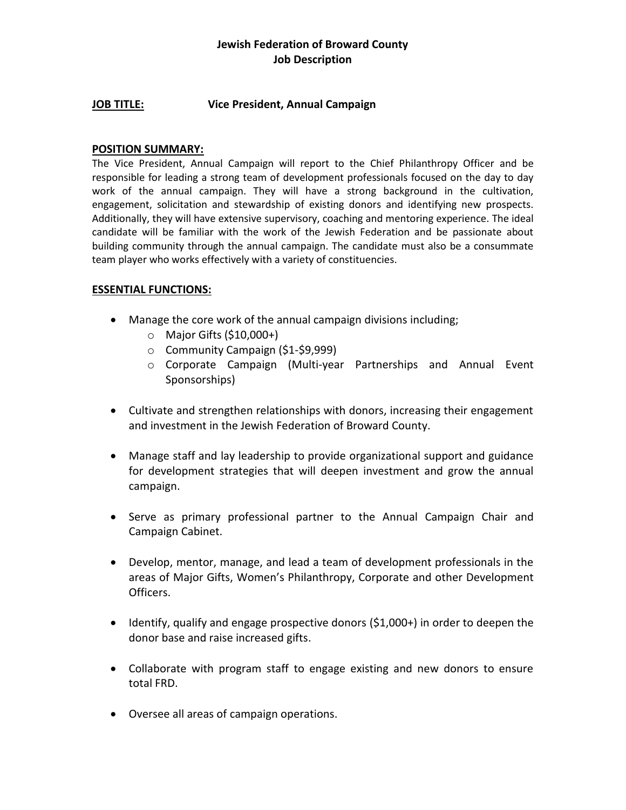# **Jewish Federation of Broward County Job Description**

### **JOB TITLE: Vice President, Annual Campaign**

#### **POSITION SUMMARY:**

The Vice President, Annual Campaign will report to the Chief Philanthropy Officer and be responsible for leading a strong team of development professionals focused on the day to day work of the annual campaign. They will have a strong background in the cultivation, engagement, solicitation and stewardship of existing donors and identifying new prospects. Additionally, they will have extensive supervisory, coaching and mentoring experience. The ideal candidate will be familiar with the work of the Jewish Federation and be passionate about building community through the annual campaign. The candidate must also be a consummate team player who works effectively with a variety of constituencies.

#### **ESSENTIAL FUNCTIONS:**

- Manage the core work of the annual campaign divisions including;
	- o Major Gifts (\$10,000+)
	- o Community Campaign (\$1-\$9,999)
	- o Corporate Campaign (Multi-year Partnerships and Annual Event Sponsorships)
- Cultivate and strengthen relationships with donors, increasing their engagement and investment in the Jewish Federation of Broward County.
- Manage staff and lay leadership to provide organizational support and guidance for development strategies that will deepen investment and grow the annual campaign.
- Serve as primary professional partner to the Annual Campaign Chair and Campaign Cabinet.
- Develop, mentor, manage, and lead a team of development professionals in the areas of Major Gifts, Women's Philanthropy, Corporate and other Development Officers.
- Identify, qualify and engage prospective donors (\$1,000+) in order to deepen the donor base and raise increased gifts.
- Collaborate with program staff to engage existing and new donors to ensure total FRD.
- Oversee all areas of campaign operations.